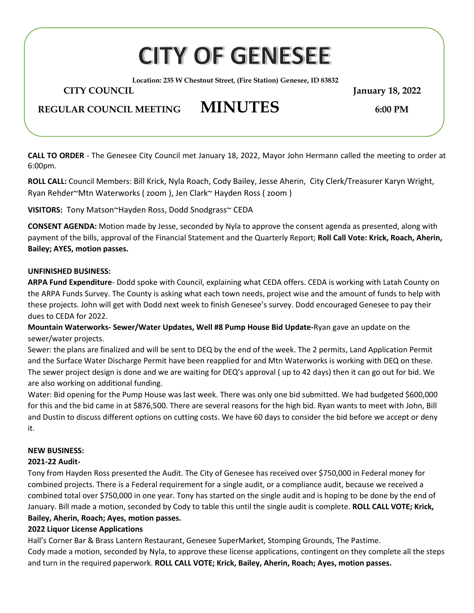# **CITY OF GENESEE**

**Location: 235 W Chestnut Street, (Fire Station) Genesee, ID 83832**

 **CITY COUNCIL January 18, 2022**

## **REGULAR COUNCIL MEETING MINUTES 6:00 PM**

**CALL TO ORDER** - The Genesee City Council met January 18, 2022, Mayor John Hermann called the meeting to order at 6:00pm.

**ROLL CALL:** Council Members: Bill Krick, Nyla Roach, Cody Bailey, Jesse Aherin, City Clerk/Treasurer Karyn Wright, Ryan Rehder~Mtn Waterworks ( zoom ), Jen Clark~ Hayden Ross ( zoom )

**VISITORS:** Tony Matson~Hayden Ross, Dodd Snodgrass~ CEDA

**CONSENT AGENDA:** Motion made by Jesse, seconded by Nyla to approve the consent agenda as presented, along with payment of the bills, approval of the Financial Statement and the Quarterly Report; **Roll Call Vote: Krick, Roach, Aherin, Bailey; AYES, motion passes.** 

#### **UNFINISHED BUSINESS:**

**ARPA Fund Expenditure**- Dodd spoke with Council, explaining what CEDA offers. CEDA is working with Latah County on the ARPA Funds Survey. The County is asking what each town needs, project wise and the amount of funds to help with these projects. John will get with Dodd next week to finish Genesee's survey. Dodd encouraged Genesee to pay their dues to CEDA for 2022.

**Mountain Waterworks- Sewer/Water Updates, Well #8 Pump House Bid Update-**Ryan gave an update on the sewer/water projects.

Sewer: the plans are finalized and will be sent to DEQ by the end of the week. The 2 permits, Land Application Permit and the Surface Water Discharge Permit have been reapplied for and Mtn Waterworks is working with DEQ on these. The sewer project design is done and we are waiting for DEQ's approval ( up to 42 days) then it can go out for bid. We are also working on additional funding.

Water: Bid opening for the Pump House was last week. There was only one bid submitted. We had budgeted \$600,000 for this and the bid came in at \$876,500. There are several reasons for the high bid. Ryan wants to meet with John, Bill and Dustin to discuss different options on cutting costs. We have 60 days to consider the bid before we accept or deny it.

### **NEW BUSINESS:**

### **2021-22 Audit-**

Tony from Hayden Ross presented the Audit. The City of Genesee has received over \$750,000 in Federal money for combined projects. There is a Federal requirement for a single audit, or a compliance audit, because we received a combined total over \$750,000 in one year. Tony has started on the single audit and is hoping to be done by the end of January. Bill made a motion, seconded by Cody to table this until the single audit is complete. **ROLL CALL VOTE; Krick, Bailey, Aherin, Roach; Ayes, motion passes.**

### **2022 Liquor License Applications**

Hall's Corner Bar & Brass Lantern Restaurant, Genesee SuperMarket, Stomping Grounds, The Pastime. Cody made a motion, seconded by Nyla, to approve these license applications, contingent on they complete all the steps and turn in the required paperwork. **ROLL CALL VOTE; Krick, Bailey, Aherin, Roach; Ayes, motion passes.**